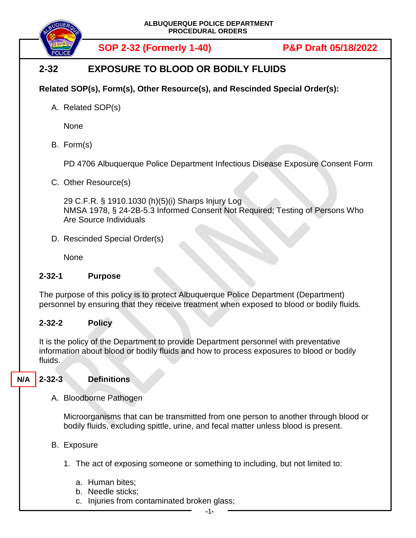

**SOP 2-32 (Formerly 1-40) P&P Draft 05/18/2022**

# **2-32 EXPOSURE TO BLOOD OR BODILY FLUIDS**

### **Related SOP(s), Form(s), Other Resource(s), and Rescinded Special Order(s):**

A. Related SOP(s)

None

B. Form(s)

PD 4706 Albuquerque Police Department Infectious Disease Exposure Consent Form

C. Other Resource(s)

29 C.F.R. § 1910.1030 (h)(5)(i) Sharps Injury Log NMSA 1978, § 24-2B-5.3 Informed Consent Not Required; Testing of Persons Who Are Source Individuals

D. Rescinded Special Order(s)

None

#### **2-32-1 Purpose**

The purpose of this policy is to protect Albuquerque Police Department (Department) personnel by ensuring that they receive treatment when exposed to blood or bodily fluids.

#### **2-32-2 Policy**

It is the policy of the Department to provide Department personnel with preventative information about blood or bodily fluids and how to process exposures to blood or bodily fluids.

**2-32-3 Definitions N/A**

#### A. Bloodborne Pathogen

Microorganisms that can be transmitted from one person to another through blood or bodily fluids, excluding spittle, urine, and fecal matter unless blood is present.

- B. Exposure
	- 1. The act of exposing someone or something to including, but not limited to:
		- a. Human bites;
		- b. Needle sticks;
		- c. Injuries from contaminated broken glass;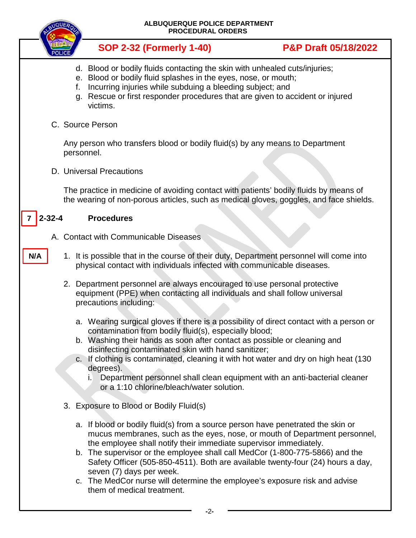| ALBUQUERQUE POLICE DEPARTMENT<br><b>PROCEDURAL ORDERS</b> |                                         |                                                                                                                                                                                                                                                                                                                                                                                                                                                                                                                                               |                                 |  |
|-----------------------------------------------------------|-----------------------------------------|-----------------------------------------------------------------------------------------------------------------------------------------------------------------------------------------------------------------------------------------------------------------------------------------------------------------------------------------------------------------------------------------------------------------------------------------------------------------------------------------------------------------------------------------------|---------------------------------|--|
|                                                           |                                         | <b>SOP 2-32 (Formerly 1-40)</b>                                                                                                                                                                                                                                                                                                                                                                                                                                                                                                               | <b>P&amp;P Draft 05/18/2022</b> |  |
|                                                           | f.<br>q.                                | d. Blood or bodily fluids contacting the skin with unhealed cuts/injuries;<br>e. Blood or bodily fluid splashes in the eyes, nose, or mouth;<br>Incurring injuries while subduing a bleeding subject; and<br>Rescue or first responder procedures that are given to accident or injured<br>victims.                                                                                                                                                                                                                                           |                                 |  |
| C. Source Person                                          |                                         |                                                                                                                                                                                                                                                                                                                                                                                                                                                                                                                                               |                                 |  |
|                                                           |                                         | Any person who transfers blood or bodily fluid(s) by any means to Department<br>personnel.                                                                                                                                                                                                                                                                                                                                                                                                                                                    |                                 |  |
|                                                           |                                         | D. Universal Precautions                                                                                                                                                                                                                                                                                                                                                                                                                                                                                                                      |                                 |  |
|                                                           |                                         | The practice in medicine of avoiding contact with patients' bodily fluids by means of<br>the wearing of non-porous articles, such as medical gloves, goggles, and face shields.                                                                                                                                                                                                                                                                                                                                                               |                                 |  |
| $2 - 32 - 4$                                              |                                         | <b>Procedures</b>                                                                                                                                                                                                                                                                                                                                                                                                                                                                                                                             |                                 |  |
|                                                           |                                         | A. Contact with Communicable Diseases                                                                                                                                                                                                                                                                                                                                                                                                                                                                                                         |                                 |  |
| N/A                                                       |                                         | 1. It is possible that in the course of their duty, Department personnel will come into<br>physical contact with individuals infected with communicable diseases.                                                                                                                                                                                                                                                                                                                                                                             |                                 |  |
|                                                           |                                         | 2. Department personnel are always encouraged to use personal protective<br>equipment (PPE) when contacting all individuals and shall follow universal<br>precautions including:                                                                                                                                                                                                                                                                                                                                                              |                                 |  |
|                                                           |                                         | a. Wearing surgical gloves if there is a possibility of direct contact with a person or<br>contamination from bodily fluid(s), especially blood;<br>b. Washing their hands as soon after contact as possible or cleaning and<br>disinfecting contaminated skin with hand sanitizer;<br>c. If clothing is contaminated, cleaning it with hot water and dry on high heat (130<br>degrees).                                                                                                                                                      |                                 |  |
|                                                           |                                         | Department personnel shall clean equipment with an anti-bacterial cleaner<br>or a 1:10 chlorine/bleach/water solution.                                                                                                                                                                                                                                                                                                                                                                                                                        |                                 |  |
|                                                           | 3. Exposure to Blood or Bodily Fluid(s) |                                                                                                                                                                                                                                                                                                                                                                                                                                                                                                                                               |                                 |  |
|                                                           |                                         | a. If blood or bodily fluid(s) from a source person have penetrated the skin or<br>mucus membranes, such as the eyes, nose, or mouth of Department personnel,<br>the employee shall notify their immediate supervisor immediately.<br>b. The supervisor or the employee shall call MedCor (1-800-775-5866) and the<br>Safety Officer (505-850-4511). Both are available twenty-four (24) hours a day,<br>seven (7) days per week.<br>c. The MedCor nurse will determine the employee's exposure risk and advise<br>them of medical treatment. |                                 |  |
|                                                           |                                         |                                                                                                                                                                                                                                                                                                                                                                                                                                                                                                                                               |                                 |  |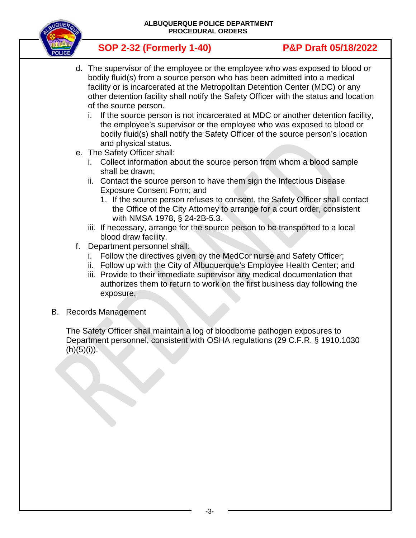**ALBUQUERQUE POLICE DEPARTMENT PROCEDURAL ORDERS**



# **SOP 2-32 (Formerly 1-40) P&P Draft 05/18/2022**

- d. The supervisor of the employee or the employee who was exposed to blood or bodily fluid(s) from a source person who has been admitted into a medical facility or is incarcerated at the Metropolitan Detention Center (MDC) or any other detention facility shall notify the Safety Officer with the status and location of the source person.
	- i. If the source person is not incarcerated at MDC or another detention facility, the employee's supervisor or the employee who was exposed to blood or bodily fluid(s) shall notify the Safety Officer of the source person's location and physical status.
- e. The Safety Officer shall:
	- i. Collect information about the source person from whom a blood sample shall be drawn;
	- ii. Contact the source person to have them sign the Infectious Disease Exposure Consent Form; and
		- 1. If the source person refuses to consent, the Safety Officer shall contact the Office of the City Attorney to arrange for a court order, consistent with NMSA 1978, § 24-2B-5.3.
	- iii. If necessary, arrange for the source person to be transported to a local blood draw facility.
- f. Department personnel shall:
	- i. Follow the directives given by the MedCor nurse and Safety Officer;
	- ii. Follow up with the City of Albuquerque's Employee Health Center; and
	- iii. Provide to their immediate supervisor any medical documentation that authorizes them to return to work on the first business day following the exposure.
- B. Records Management

The Safety Officer shall maintain a log of bloodborne pathogen exposures to Department personnel, consistent with OSHA regulations (29 C.F.R. § 1910.1030 (h)(5)(i)).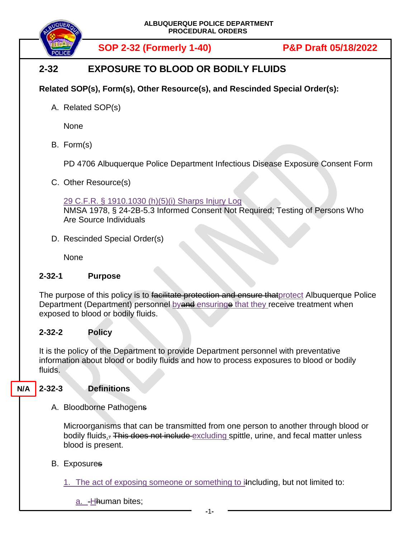

**SOP 2-32 (Formerly 1-40) P&P Draft 05/18/2022**

# **2-32 EXPOSURE TO BLOOD OR BODILY FLUIDS**

### **Related SOP(s), Form(s), Other Resource(s), and Rescinded Special Order(s):**

A. Related SOP(s)

None

B. Form(s)

PD 4706 Albuquerque Police Department Infectious Disease Exposure Consent Form

C. Other Resource(s)

#### 29 C.F.R. § 1910.1030 (h)(5)(i) Sharps Injury Log

NMSA 1978, § 24-2B-5.3 Informed Consent Not Required; Testing of Persons Who Are Source Individuals

D. Rescinded Special Order(s)

None

#### **2-32-1 Purpose**

The purpose of this policy is to facilitate protection and ensure that protect Albuquerque Police Department (Department) personnel by and ensuringe that they receive treatment when exposed to blood or bodily fluids.

#### **2-32-2 Policy**

It is the policy of the Department to provide Department personnel with preventative information about blood or bodily fluids and how to process exposures to blood or bodily fluids.

#### **2-32-3 Definitions N/A**

A. Bloodborne Pathogens

Microorganisms that can be transmitted from one person to another through blood or bodily fluids,. This does not include excluding spittle, urine, and fecal matter unless blood is present.

B. Exposures

1. The act of exposing someone or something to including, but not limited to:

a. Hhuman bites;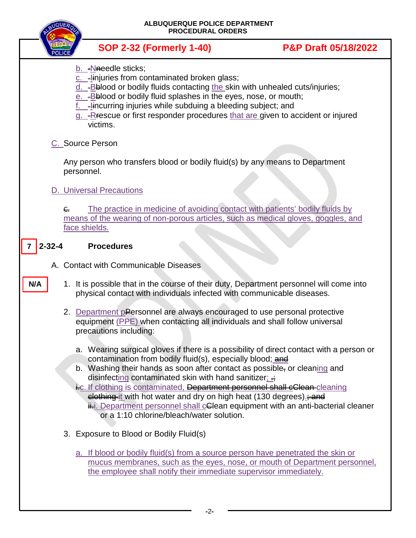**ALBUQUERQUE POLICE DEPARTMENT PROCEDURAL ORDERS**



**SOP 2-32 (Formerly 1-40) P&P Draft 05/18/2022**

- b. Nneedle sticks;
- c. Iinjuries from contaminated broken glass;
- d. Bblood or bodily fluids contacting the skin with unhealed cuts/injuries;
- e. Bblood or bodily fluid splashes in the eyes, nose, or mouth;
- f.  $=$   $\frac{1}{2}$  incurring injuries while subduing a bleeding subject; and
- g. Rescue or first responder procedures that are given to accident or injured victims.
- C. Source Person

Any person who transfers blood or bodily fluid(s) by any means to Department personnel.

# D. Universal Precautions

 $\epsilon$  The practice in medicine of avoiding contact with patients' bodily fluids by means of the wearing of non-porous articles, such as medical gloves, goggles, and face shields.

## **2-32-4 Procedures**

**7**

**N/A**

- A. Contact with Communicable Diseases
	- 1. It is possible that in the course of their duty, Department personnel will come into physical contact with individuals infected with communicable diseases.
		- 2. Department pPersonnel are always encouraged to use personal protective equipment (PPE) when contacting all individuals and shall follow universal precautions including:
			- a. Wearing surgical gloves if there is a possibility of direct contact with a person or contamination from bodily fluid(s), especially blood; and
			- b. Washing their hands as soon after contact as possible, or cleaning and disinfecting contaminated skin with hand sanitizer;  $\div$
			- i.c. If clothing is contaminated, Department personnel shall cClean cleaning elething it with hot water and dry on high heat (130 degrees). and ii. Department personnel shall celean equipment with an anti-bacterial cleaner or a 1:10 chlorine/bleach/water solution.
		- 3. Exposure to Blood or Bodily Fluid(s)
			- a. If blood or bodily fluid(s) from a source person have penetrated the skin or mucus membranes, such as the eyes, nose, or mouth of Department personnel, the employee shall notify their immediate supervisor immediately.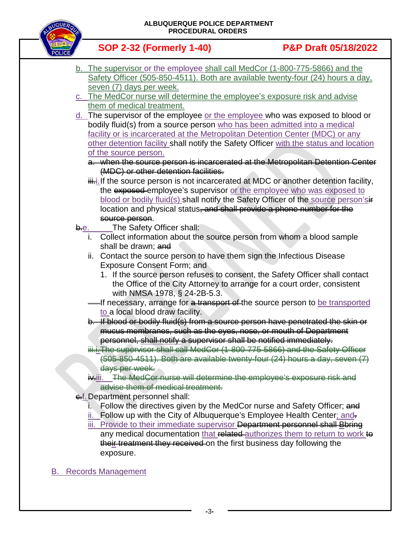**ALBUQUERQUE POLICE DEPARTMENT PROCEDURAL ORDERS**



**SOP 2-32 (Formerly 1-40) P&P Draft 05/18/2022**

- b. The supervisor or the employee shall call MedCor (1-800-775-5866) and the Safety Officer (505-850-4511). Both are available twenty-four (24) hours a day, seven (7) days per week.
- c. The MedCor nurse will determine the employee's exposure risk and advise them of medical treatment.
- d. The supervisor of the employee or the employee who was exposed to blood or bodily fluid(s) from a source person who has been admitted into a medical facility or is incarcerated at the Metropolitan Detention Center (MDC) or any other detention facility shall notify the Safety Officer with the status and location of the source person.
	- a. when the source person is incarcerated at the Metropolitan Detention Center (MDC) or other detention facilities.
	- $\ddot{\text{u}}$ . If the source person is not incarcerated at MDC or another detention facility, the exposed employee's supervisor or the employee who was exposed to blood or bodily fluid(s) shall notify the Safety Officer of the source person'sire location and physical status, and shall provide a phone number for the source person.
- b.e. The Safety Officer shall:
	- i. Collect information about the source person from whom a blood sample shall be drawn; and
	- ii. Contact the source person to have them sign the Infectious Disease Exposure Consent Form; and
		- 1. If the source person refuses to consent, the Safety Officer shall contact the Office of the City Attorney to arrange for a court order, consistent with NMSA 1978, § 24-2B-5.3.
	- If necessary, arrange for a transport of the source person to be transported to a local blood draw facility.
	- b. If blood or bodily fluid(s) from a source person have penetrated the skin or mucus membranes, such as the eyes, nose, or mouth of Department personnel, shall notify a supervisor shall be notified immediately.
	- iii.i. The supervisor shall call MedCor (1-800-775-5866) and the Safety Officer (505-850-4511). Both are available twenty-four (24) hours a day, seven (7) days per week.
	- ix-iii. The MedCor nurse will determine the employee's exposure risk and advise them of medical treatment.
- ef. Department personnel shall:
	- Follow the directives given by the MedCor nurse and Safety Officer; and
	- i. Follow up with the City of Albuquerque's Employee Health Center; and-
	- iii. Provide to their immediate supervisor Department personnel shall Bbring any medical documentation that related authorizes them to return to work to their treatment they received on the first business day following the exposure.
- B. Records Management